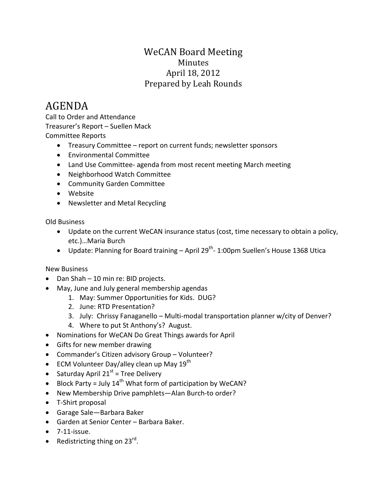## WeCAN Board Meeting Minutes April 18, 2012 Prepared by Leah Rounds

## AGENDA

Call to Order and Attendance Treasurer's Report – Suellen Mack Committee Reports

- Treasury Committee report on current funds; newsletter sponsors
- Environmental Committee
- Land Use Committee- agenda from most recent meeting March meeting
- Neighborhood Watch Committee
- Community Garden Committee
- Website
- Newsletter and Metal Recycling

Old Business

- Update on the current WeCAN insurance status (cost, time necessary to obtain a policy, etc.)…Maria Burch
- Update: Planning for Board training  $-$  April 29<sup>th</sup>- 1:00pm Suellen's House 1368 Utica

## New Business

- Dan Shah 10 min re: BID projects.
- May, June and July general membership agendas
	- 1. May: Summer Opportunities for Kids. DUG?
	- 2. June: RTD Presentation?
	- 3. July: Chrissy Fanaganello Multi-modal transportation planner w/city of Denver?
	- 4. Where to put St Anthony's? August.
- Nominations for WeCAN Do Great Things awards for April
- Gifts for new member drawing
- Commander's Citizen advisory Group Volunteer?
- ECM Volunteer Day/alley clean up May  $19^{th}$
- Saturday April 21 $st$  = Tree Delivery
- Block Party = July  $14^{th}$  What form of participation by WeCAN?
- New Membership Drive pamphlets—Alan Burch-to order?
- T-Shirt proposal
- Garage Sale—Barbara Baker
- Garden at Senior Center Barbara Baker.
- $\bullet$  7-11-issue.
- Redistricting thing on  $23^{\text{rd}}$ .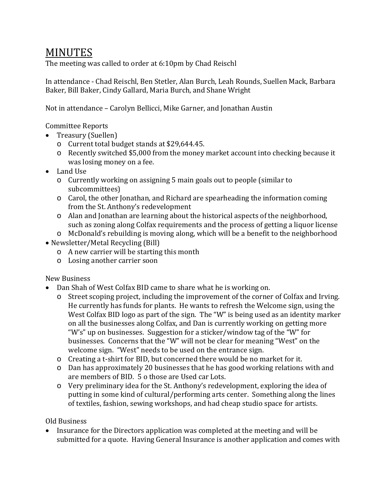## **MINUTES**

The meeting was called to order at 6:10pm by Chad Reischl

In attendance - Chad Reischl, Ben Stetler, Alan Burch, Leah Rounds, Suellen Mack, Barbara Baker, Bill Baker, Cindy Gallard, Maria Burch, and Shane Wright

Not in attendance – Carolyn Bellicci, Mike Garner, and Jonathan Austin

Committee Reports

- Treasury (Suellen)
	- o Current total budget stands at \$29,644.45.
	- o Recently switched \$5,000 from the money market account into checking because it was losing money on a fee.
- Land Use
	- o Currently working on assigning 5 main goals out to people (similar to subcommittees)
	- o Carol, the other Jonathan, and Richard are spearheading the information coming from the St. Anthony's redevelopment
	- o Alan and Jonathan are learning about the historical aspects of the neighborhood, such as zoning along Colfax requirements and the process of getting a liquor license
	- o McDonald's rebuilding is moving along, which will be a benefit to the neighborhood
- Newsletter/Metal Recycling (Bill)
	- o A new carrier will be starting this month
	- o Losing another carrier soon

New Business

- Dan Shah of West Colfax BID came to share what he is working on.
	- o Street scoping project, including the improvement of the corner of Colfax and Irving. He currently has funds for plants. He wants to refresh the Welcome sign, using the West Colfax BID logo as part of the sign. The "W" is being used as an identity marker on all the businesses along Colfax, and Dan is currently working on getting more "W's" up on businesses. Suggestion for a sticker/window tag of the "W" for businesses. Concerns that the "W" will not be clear for meaning "West" on the welcome sign. "West" needs to be used on the entrance sign.
	- o Creating a t-shirt for BID, but concerned there would be no market for it.
	- o Dan has approximately 20 businesses that he has good working relations with and are members of BID. 5 o those are Used car Lots.
	- o Very preliminary idea for the St. Anthony's redevelopment, exploring the idea of putting in some kind of cultural/performing arts center. Something along the lines of textiles, fashion, sewing workshops, and had cheap studio space for artists.

Old Business

• Insurance for the Directors application was completed at the meeting and will be submitted for a quote. Having General Insurance is another application and comes with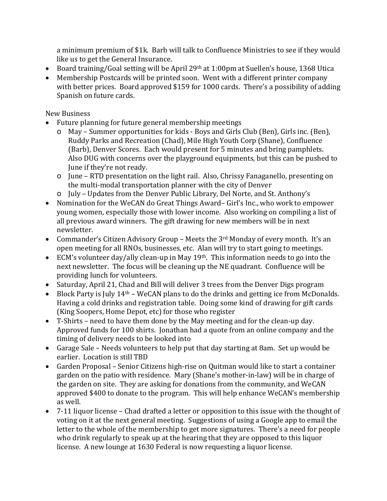a minimum premium of \$1k. Barb will talk to Confluence Ministries to see if they would like us to get the General Insurance.

- Board training/Goal setting will be April 29th at 1:00pm at Suellen's house, 1368 Utica
- Membership Postcards will be printed soon. Went with a different printer company with better prices. Board approved \$159 for 1000 cards. There's a possibility of adding Spanish on future cards.

New Business

- Future planning for future general membership meetings
	- o May Summer opportunities for kids Boys and Girls Club (Ben), Girls inc. (Ben), Ruddy Parks and Recreation (Chad), Mile High Youth Corp (Shane), Confluence (Barb), Denver Scores. Each would present for 5 minutes and bring pamphlets. Also DUG with concerns over the playground equipments, but this can be pushed to June if they're not ready.
	- o June RTD presentation on the light rail. Also, Chrissy Fanaganello, presenting on the multi-modal transportation planner with the city of Denver
	- o July Updates from the Denver Public Library, Del Norte, and St. Anthony's
- Nomination for the WeCAN do Great Things Award– Girl's Inc., who work to empower young women, especially those with lower income. Also working on compiling a list of all previous award winners. The gift drawing for new members will be in next newsletter.
- Commander's Citizen Advisory Group Meets the 3<sup>rd</sup> Monday of every month. It's an open meeting for all RNOs, businesses, etc. Alan will try to start going to meetings.
- ECM's volunteer day/ally clean-up in May 19<sup>th</sup>. This information needs to go into the next newsletter. The focus will be cleaning up the NE quadrant. Confluence will be providing lunch for volunteers.
- Saturday, April 21, Chad and Bill will deliver 3 trees from the Denver Digs program
- Block Party is July 14<sup>th</sup> WeCAN plans to do the drinks and getting ice from McDonalds. Having a cold drinks and registration table. Doing some kind of drawing for gift cards (King Soopers, Home Depot, etc) for those who register
- T-Shirts need to have them done by the May meeting and for the clean-up day. Approved funds for 100 shirts. Jonathan had a quote from an online company and the timing of delivery needs to be looked into
- Garage Sale Needs volunteers to help put that day starting at 8am. Set up would be earlier. Location is still TBD
- Garden Proposal Senior Citizens high-rise on Quitman would like to start a container garden on the patio with residence. Mary (Shane's mother-in-law) will be in charge of the garden on site. They are asking for donations from the community, and WeCAN approved \$400 to donate to the program. This will help enhance WeCAN's membership as well.
- 7-11 liquor license Chad drafted a letter or opposition to this issue with the thought of voting on it at the next general meeting. Suggestions of using a Google app to email the letter to the whole of the membership to get more signatures. There's a need for people who drink regularly to speak up at the hearing that they are opposed to this liquor license. A new lounge at 1630 Federal is now requesting a liquor license.